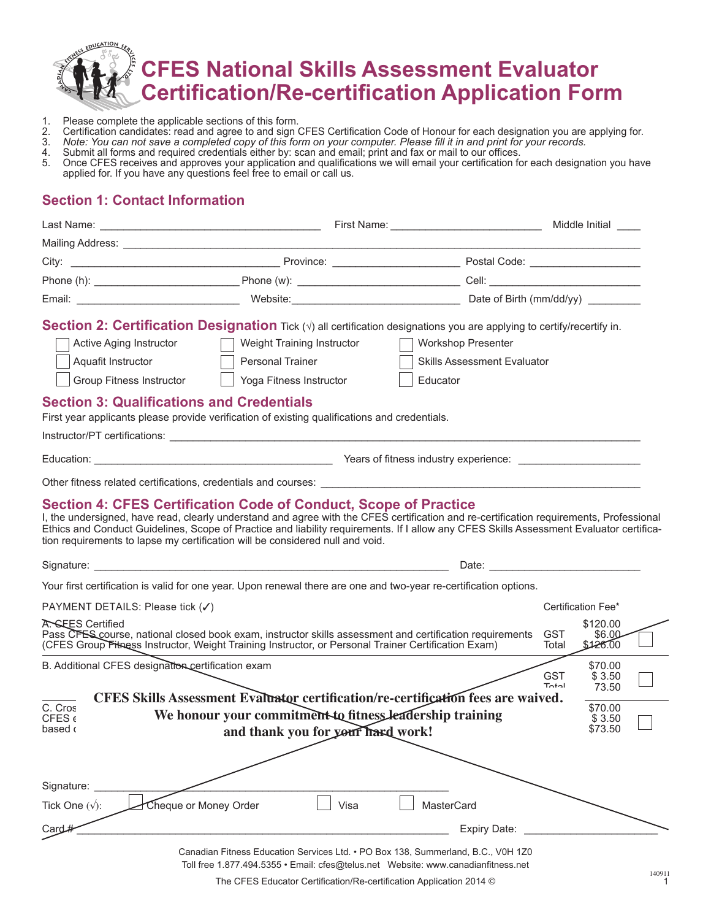

- 1. Please complete the applicable sections of this form.<br>2. Certification candidates: read and agree to and sign (3. Note: You can not save a completed copy of this for
- 2. Certification candidates: read and agree to and sign CFES Certification Code of Honour for each designation you are applying for.
- 3. *Note: You can not save a completed copy of this form on your computer. Please fill it in and print for your records.*
- 4. Submit all forms and required credentials either by: scan and email; print and fax or mail to our offices.
- 5. Once CFES receives and approves your application and qualifications we will email your certification for each designation you have applied for. If you have any questions feel free to email or call us.

# **Section 1: Contact Information**

|                                                                                                                                      |                                                                                                                                                                                                                                                                                                                                                                                                                                                                                                                                                                                                                                                                                                                                                                                                                                                                              |                                                                             | Middle Initial ____                                                               |  |
|--------------------------------------------------------------------------------------------------------------------------------------|------------------------------------------------------------------------------------------------------------------------------------------------------------------------------------------------------------------------------------------------------------------------------------------------------------------------------------------------------------------------------------------------------------------------------------------------------------------------------------------------------------------------------------------------------------------------------------------------------------------------------------------------------------------------------------------------------------------------------------------------------------------------------------------------------------------------------------------------------------------------------|-----------------------------------------------------------------------------|-----------------------------------------------------------------------------------|--|
|                                                                                                                                      |                                                                                                                                                                                                                                                                                                                                                                                                                                                                                                                                                                                                                                                                                                                                                                                                                                                                              |                                                                             |                                                                                   |  |
|                                                                                                                                      |                                                                                                                                                                                                                                                                                                                                                                                                                                                                                                                                                                                                                                                                                                                                                                                                                                                                              |                                                                             |                                                                                   |  |
|                                                                                                                                      |                                                                                                                                                                                                                                                                                                                                                                                                                                                                                                                                                                                                                                                                                                                                                                                                                                                                              |                                                                             |                                                                                   |  |
|                                                                                                                                      |                                                                                                                                                                                                                                                                                                                                                                                                                                                                                                                                                                                                                                                                                                                                                                                                                                                                              |                                                                             |                                                                                   |  |
| Active Aging Instructor<br>Aquafit Instructor<br><b>Group Fitness Instructor</b><br><b>Section 3: Qualifications and Credentials</b> | Section 2: Certification Designation Tick $(\sqrt{})$ all certification designations you are applying to certify/recertify in.<br>Weight Training Instructor<br>Personal Trainer<br>Yoga Fitness Instructor<br>First year applicants please provide verification of existing qualifications and credentials.<br>Section 4: CFES Certification Code of Conduct, Scope of Practice<br>I, the undersigned, have read, clearly understand and agree with the CFES certification and re-certification requirements, Professional<br>Ethics and Conduct Guidelines, Scope of Practice and liability requirements. If I allow any CFES Skills Assessment Evaluator certifica-<br>tion requirements to lapse my certification will be considered null and void.<br>Your first certification is valid for one year. Upon renewal there are one and two-year re-certification options. | <b>Workshop Presenter</b><br><b>Skills Assessment Evaluator</b><br>Educator |                                                                                   |  |
| PAYMENT DETAILS: Please tick (√)                                                                                                     |                                                                                                                                                                                                                                                                                                                                                                                                                                                                                                                                                                                                                                                                                                                                                                                                                                                                              |                                                                             | Certification Fee*                                                                |  |
| A. SEES Certified                                                                                                                    | Pass CFES course, national closed book exam, instructor skills assessment and certification requirements<br>(CFES Group Fitness Instructor, Weight Training Instructor, or Personal Trainer Certification Exam)                                                                                                                                                                                                                                                                                                                                                                                                                                                                                                                                                                                                                                                              |                                                                             | \$120.00<br>GST<br>\$6.00<br>\$126.00<br>Total                                    |  |
| B. Additional CFES designation certification exam<br>C. Cros<br>$CFES \epsilon$<br>based c                                           | CFES Skills Assessment Evaluator certification/re-certification fees are waived.<br>We honour your commitment to fitness leadership training<br>and thank you for your hard work!                                                                                                                                                                                                                                                                                                                                                                                                                                                                                                                                                                                                                                                                                            |                                                                             | \$70.00<br><b>GST</b><br>\$3.50<br>Total<br>73.50<br>\$70.00<br>\$3.50<br>\$73.50 |  |
| Signature:<br>Tick One $(\sqrt{\ }$ :<br>Card#                                                                                       | Cheque or Money Order<br>Visa                                                                                                                                                                                                                                                                                                                                                                                                                                                                                                                                                                                                                                                                                                                                                                                                                                                | MasterCard<br>Expiry Date:                                                  |                                                                                   |  |

Canadian Fitness Education Services Ltd. • PO Box 138, Summerland, B.C., V0H 1Z0 Toll free 1.877.494.5355 • Email: cfes@telus.net Website: www.canadianfitness.net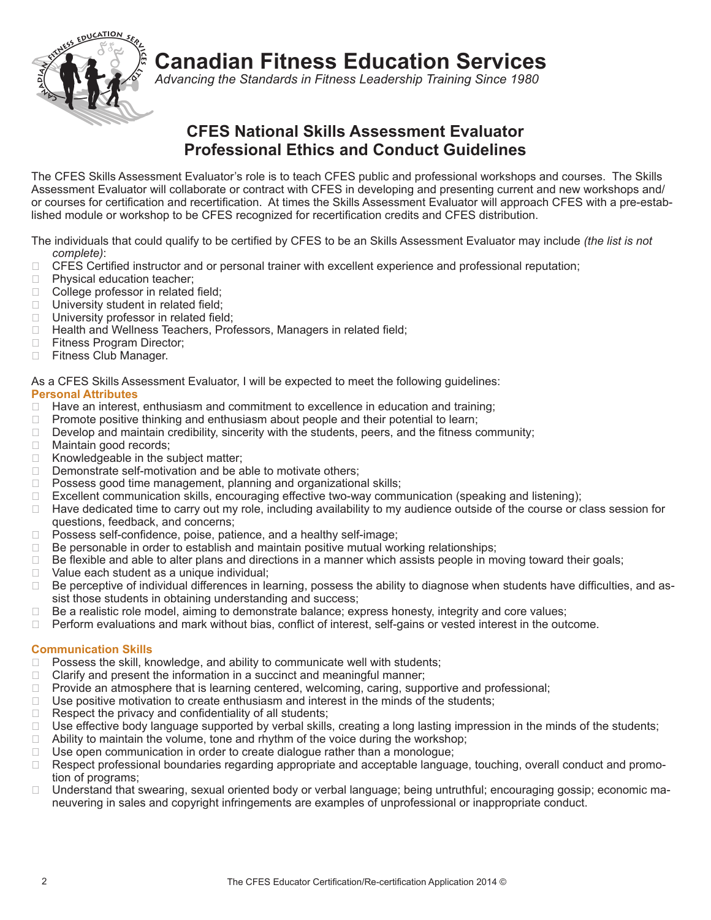

**Canadian Fitness Education Services**

*Advancing the Standards in Fitness Leadership Training Since 1980*

# **CFES National Skills Assessment Evaluator Professional Ethics and Conduct Guidelines**

The CFES Skills Assessment Evaluator's role is to teach CFES public and professional workshops and courses. The Skills Assessment Evaluator will collaborate or contract with CFES in developing and presenting current and new workshops and/ or courses for certification and recertification. At times the Skills Assessment Evaluator will approach CFES with a pre-established module or workshop to be CFES recognized for recertification credits and CFES distribution.

The individuals that could qualify to be certified by CFES to be an Skills Assessment Evaluator may include *(the list is not complete)*:

- ❑ CFES Certified instructor and or personal trainer with excellent experience and professional reputation;
- ❑ Physical education teacher;
- ❑ College professor in related field;
- □ University student in related field;
- □ University professor in related field;
- □ Health and Wellness Teachers, Professors, Managers in related field;
- ❑ Fitness Program Director;
- ❑ Fitness Club Manager.

As a CFES Skills Assessment Evaluator, I will be expected to meet the following guidelines:

### **Personal Attributes**

- ❑ Have an interest, enthusiasm and commitment to excellence in education and training;
- □ Promote positive thinking and enthusiasm about people and their potential to learn;
- $\Box$  Develop and maintain credibility, sincerity with the students, peers, and the fitness community;
- □ Maintain good records;
- ❑ Knowledgeable in the subject matter;
- □ Demonstrate self-motivation and be able to motivate others;
- □ Possess good time management, planning and organizational skills;
- ❑ Excellent communication skills, encouraging effective two-way communication (speaking and listening);
- ❑ Have dedicated time to carry out my role, including availability to my audience outside of the course or class session for questions, feedback, and concerns;
- □ Possess self-confidence, poise, patience, and a healthy self-image;
- ❑ Be personable in order to establish and maintain positive mutual working relationships;
- ❑ Be flexible and able to alter plans and directions in a manner which assists people in moving toward their goals;
- ❑ Value each student as a unique individual;
- □ Be perceptive of individual differences in learning, possess the ability to diagnose when students have difficulties, and assist those students in obtaining understanding and success;
- ❑ Be a realistic role model, aiming to demonstrate balance; express honesty, integrity and core values;
- □ Perform evaluations and mark without bias, conflict of interest, self-gains or vested interest in the outcome.

### **Communication Skills**

- □ Possess the skill, knowledge, and ability to communicate well with students;
- $\Box$  Clarify and present the information in a succinct and meaningful manner;
- □ Provide an atmosphere that is learning centered, welcoming, caring, supportive and professional;
- ❑ Use positive motivation to create enthusiasm and interest in the minds of the students;
- ❑ Respect the privacy and confidentiality of all students;
- ❑ Use effective body language supported by verbal skills, creating a long lasting impression in the minds of the students;
- $\Box$  Ability to maintain the volume, tone and rhythm of the voice during the workshop;
- □ Use open communication in order to create dialogue rather than a monologue;
- ❑ Respect professional boundaries regarding appropriate and acceptable language, touching, overall conduct and promotion of programs;
- □ Understand that swearing, sexual oriented body or verbal language; being untruthful; encouraging gossip; economic maneuvering in sales and copyright infringements are examples of unprofessional or inappropriate conduct.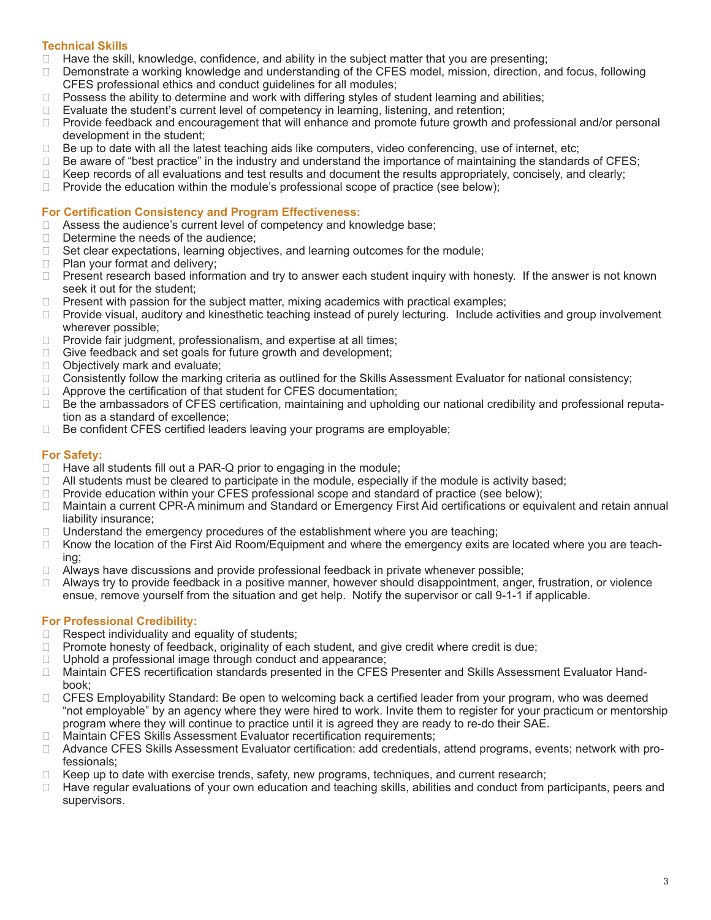### **Technical Skills**

- ❑ Have the skill, knowledge, confidence, and ability in the subject matter that you are presenting;
- □ Demonstrate a working knowledge and understanding of the CFES model, mission, direction, and focus, following CFES professional ethics and conduct guidelines for all modules;
- □ Possess the ability to determine and work with differing styles of student learning and abilities;
- ❑ Evaluate the student's current level of competency in learning, listening, and retention;
- □ Provide feedback and encouragement that will enhance and promote future growth and professional and/or personal development in the student;
- ❑ Be up to date with all the latest teaching aids like computers, video conferencing, use of internet, etc;
- $\Box$  Be aware of "best practice" in the industry and understand the importance of maintaining the standards of CFES;
- ❑ Keep records of all evaluations and test results and document the results appropriately, concisely, and clearly;
- $\Box$  Provide the education within the module's professional scope of practice (see below);

#### **For Certification Consistency and Program Effectiveness:**

- □ Assess the audience's current level of competency and knowledge base;
- □ Determine the needs of the audience;
- ❑ Set clear expectations, learning objectives, and learning outcomes for the module;
- ❑ Plan your format and delivery;
- □ Present research based information and try to answer each student inquiry with honesty. If the answer is not known seek it out for the student;
- □ Present with passion for the subject matter, mixing academics with practical examples;
- □ Provide visual, auditory and kinesthetic teaching instead of purely lecturing. Include activities and group involvement wherever possible;
- □ Provide fair judgment, professionalism, and expertise at all times;
- ❑ Give feedback and set goals for future growth and development;
- ❑ Objectively mark and evaluate;
- ❑ Consistently follow the marking criteria as outlined for the Skills Assessment Evaluator for national consistency;
- □ Approve the certification of that student for CFES documentation;
- □ Be the ambassadors of CFES certification, maintaining and upholding our national credibility and professional reputation as a standard of excellence;
- ❑ Be confident CFES certified leaders leaving your programs are employable;

### **For Safety:**

- □ Have all students fill out a PAR-Q prior to engaging in the module;
- $\Box$  All students must be cleared to participate in the module, especially if the module is activity based;
- ❑ Provide education within your CFES professional scope and standard of practice (see below);
- ❑ Maintain a current CPR-A minimum and Standard or Emergency First Aid certifications or equivalent and retain annual liability insurance;
- $\Box$  Understand the emergency procedures of the establishment where you are teaching;
- □ Know the location of the First Aid Room/Equipment and where the emergency exits are located where you are teaching;
- ❑ Always have discussions and provide professional feedback in private whenever possible;
- ❑ Always try to provide feedback in a positive manner, however should disappointment, anger, frustration, or violence ensue, remove yourself from the situation and get help. Notify the supervisor or call 9-1-1 if applicable.

### **For Professional Credibility:**

- ❑ Respect individuality and equality of students;
- ❑ Promote honesty of feedback, originality of each student, and give credit where credit is due;
- ❑ Uphold a professional image through conduct and appearance;
- □ Maintain CFES recertification standards presented in the CFES Presenter and Skills Assessment Evaluator Handbook;
- □ CFES Employability Standard: Be open to welcoming back a certified leader from your program, who was deemed "not employable" by an agency where they were hired to work. Invite them to register for your practicum or mentorship program where they will continue to practice until it is agreed they are ready to re-do their SAE.
- ❑ Maintain CFES Skills Assessment Evaluator recertification requirements;
- □ Advance CFES Skills Assessment Evaluator certification: add credentials, attend programs, events; network with professionals;
- ❑ Keep up to date with exercise trends, safety, new programs, techniques, and current research;
- ❑ Have regular evaluations of your own education and teaching skills, abilities and conduct from participants, peers and supervisors.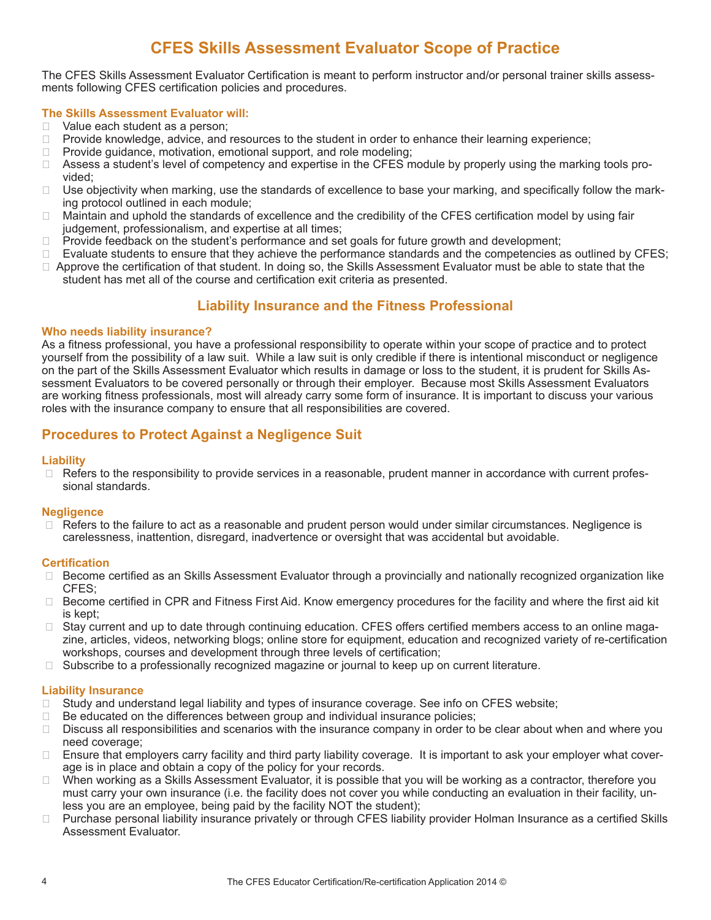# **CFES Skills Assessment Evaluator Scope of Practice**

The CFES Skills Assessment Evaluator Certification is meant to perform instructor and/or personal trainer skills assessments following CFES certification policies and procedures.

### **The Skills Assessment Evaluator will:**

- □ Value each student as a person;
- □ Provide knowledge, advice, and resources to the student in order to enhance their learning experience;
- □ Provide guidance, motivation, emotional support, and role modeling;
- ❑ Assess a student's level of competency and expertise in the CFES module by properly using the marking tools provided;
- □ Use objectivity when marking, use the standards of excellence to base your marking, and specifically follow the marking protocol outlined in each module;
- ❑ Maintain and uphold the standards of excellence and the credibility of the CFES certification model by using fair judgement, professionalism, and expertise at all times;
- □ Provide feedback on the student's performance and set goals for future growth and development;
- ❑ Evaluate students to ensure that they achieve the performance standards and the competencies as outlined by CFES;
- □ Approve the certification of that student. In doing so, the Skills Assessment Evaluator must be able to state that the student has met all of the course and certification exit criteria as presented.

# **Liability Insurance and the Fitness Professional**

#### **Who needs liability insurance?**

As a fitness professional, you have a professional responsibility to operate within your scope of practice and to protect yourself from the possibility of a law suit. While a law suit is only credible if there is intentional misconduct or negligence on the part of the Skills Assessment Evaluator which results in damage or loss to the student, it is prudent for Skills Assessment Evaluators to be covered personally or through their employer. Because most Skills Assessment Evaluators are working fitness professionals, most will already carry some form of insurance. It is important to discuss your various roles with the insurance company to ensure that all responsibilities are covered.

# **Procedures to Protect Against a Negligence Suit**

#### **Liability**

□ Refers to the responsibility to provide services in a reasonable, prudent manner in accordance with current professional standards.

### **Negligence**

□ Refers to the failure to act as a reasonable and prudent person would under similar circumstances. Negligence is carelessness, inattention, disregard, inadvertence or oversight that was accidental but avoidable.

#### **Certification**

- □ Become certified as an Skills Assessment Evaluator through a provincially and nationally recognized organization like CFES;
- □ Become certified in CPR and Fitness First Aid. Know emergency procedures for the facility and where the first aid kit is kept;
- □ Stay current and up to date through continuing education. CFES offers certified members access to an online magazine, articles, videos, networking blogs; online store for equipment, education and recognized variety of re-certification workshops, courses and development through three levels of certification;
- □ Subscribe to a professionally recognized magazine or journal to keep up on current literature.

### **Liability Insurance**

- □ Study and understand legal liability and types of insurance coverage. See info on CFES website;
- ❑ Be educated on the differences between group and individual insurance policies;
- ❑ Discuss all responsibilities and scenarios with the insurance company in order to be clear about when and where you need coverage;
- □ Ensure that employers carry facility and third party liability coverage. It is important to ask your employer what coverage is in place and obtain a copy of the policy for your records.
- ❑ When working as a Skills Assessment Evaluator, it is possible that you will be working as a contractor, therefore you must carry your own insurance (i.e. the facility does not cover you while conducting an evaluation in their facility, unless you are an employee, being paid by the facility NOT the student);
- Purchase personal liability insurance privately or through CFES liability provider Holman Insurance as a certified Skills Assessment Evaluator.